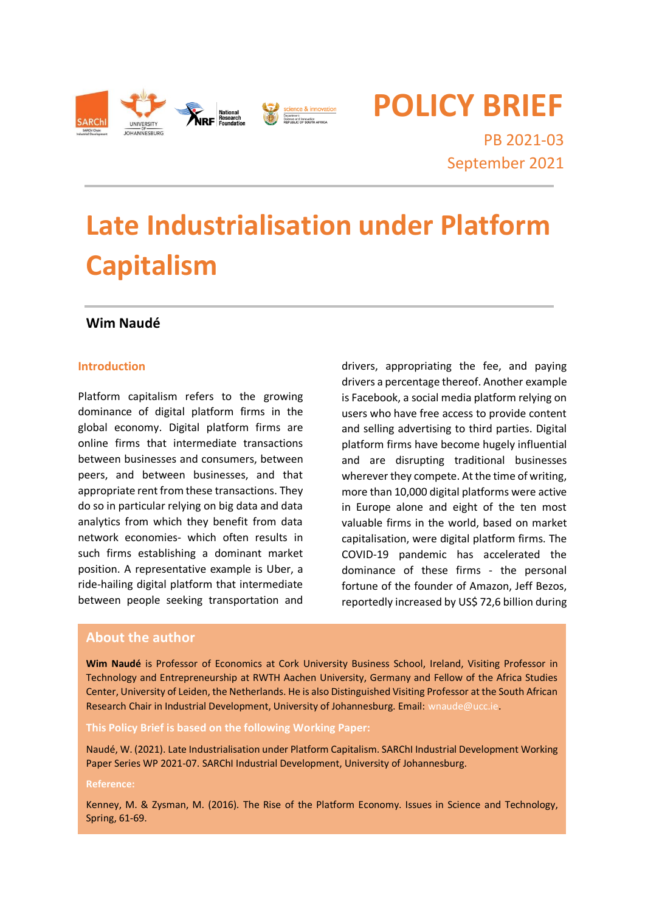

**POLICY BRIEF**

PB 2021-03 September 2021

# **Late Industrialisation under Platform Capitalism**

# **Wim Naudé**

#### **Introduction**

Platform capitalism refers to the growing dominance of digital platform firms in the global economy. Digital platform firms are online firms that intermediate transactions between businesses and consumers, between peers, and between businesses, and that appropriate rent from these transactions. They do so in particular relying on big data and data analytics from which they benefit from data network economies- which often results in such firms establishing a dominant market position. A representative example is Uber, a ride-hailing digital platform that intermediate between people seeking transportation and

drivers, appropriating the fee, and paying drivers a percentage thereof. Another example is Facebook, a social media platform relying on users who have free access to provide content and selling advertising to third parties. Digital platform firms have become hugely influential and are disrupting traditional businesses wherever they compete. At the time of writing, more than 10,000 digital platforms were active in Europe alone and eight of the ten most valuable firms in the world, based on market capitalisation, were digital platform firms. The COVID-19 pandemic has accelerated the dominance of these firms - the personal fortune of the founder of Amazon, Jeff Bezos, reportedly increased by US\$ 72,6 billion during

#### **About the author**

**Wim Naudé** is Professor of Economics at Cork University Business School, Ireland, Visiting Professor in Technology and Entrepreneurship at RWTH Aachen University, Germany and Fellow of the Africa Studies Center, University of Leiden, the Netherlands. He is also Distinguished Visiting Professor at the South African Research Chair in Industrial Development, University of Johannesburg. Email: wnaude@ucc.ie.

#### **This Policy Brief is based on the following Working Paper:**

Naudé, W. (2021). Late Industrialisation under Platform Capitalism. SARChI Industrial Development Working Paper Series WP 2021-07. SARChI Industrial Development, University of Johannesburg.

#### **Reference:**

Kenney, M. & Zysman, M. (2016). The Rise of the Platform Economy. Issues in Science and Technology, Spring, 61-69.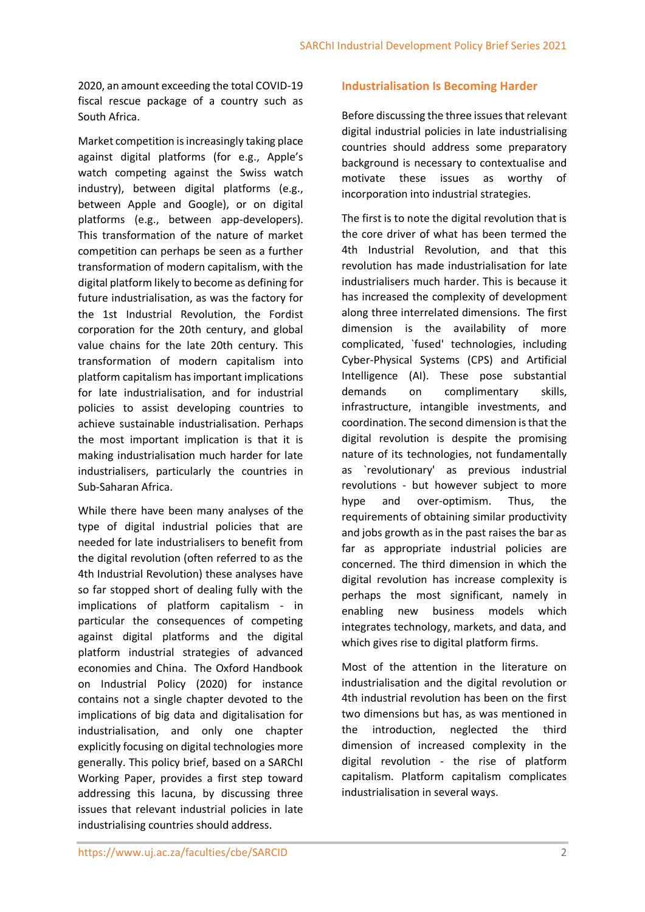2020, an amount exceeding the total COVID-19 fiscal rescue package of a country such as South Africa.

Market competition is increasingly taking place against digital platforms (for e.g., Apple's watch competing against the Swiss watch industry), between digital platforms (e.g., between Apple and Google), or on digital platforms (e.g., between app-developers). This transformation of the nature of market competition can perhaps be seen as a further transformation of modern capitalism, with the digital platform likely to become as defining for future industrialisation, as was the factory for the 1st Industrial Revolution, the Fordist corporation for the 20th century, and global value chains for the late 20th century. This transformation of modern capitalism into platform capitalism has important implications for late industrialisation, and for industrial policies to assist developing countries to achieve sustainable industrialisation. Perhaps the most important implication is that it is making industrialisation much harder for late industrialisers, particularly the countries in Sub-Saharan Africa.

While there have been many analyses of the type of digital industrial policies that are needed for late industrialisers to benefit from the digital revolution (often referred to as the 4th Industrial Revolution) these analyses have so far stopped short of dealing fully with the implications of platform capitalism - in particular the consequences of competing against digital platforms and the digital platform industrial strategies of advanced economies and China. The Oxford Handbook on Industrial Policy (2020) for instance contains not a single chapter devoted to the implications of big data and digitalisation for industrialisation, and only one chapter explicitly focusing on digital technologies more generally. This policy brief, based on a SARChI Working Paper, provides a first step toward addressing this lacuna, by discussing three issues that relevant industrial policies in late industrialising countries should address.

#### **Industrialisation Is Becoming Harder**

Before discussing the three issues that relevant digital industrial policies in late industrialising countries should address some preparatory background is necessary to contextualise and motivate these issues as worthy of incorporation into industrial strategies.

The first is to note the digital revolution that is the core driver of what has been termed the 4th Industrial Revolution, and that this revolution has made industrialisation for late industrialisers much harder. This is because it has increased the complexity of development along three interrelated dimensions. The first dimension is the availability of more complicated, `fused' technologies, including Cyber-Physical Systems (CPS) and Artificial Intelligence (AI). These pose substantial demands on complimentary skills, infrastructure, intangible investments, and coordination. The second dimension is that the digital revolution is despite the promising nature of its technologies, not fundamentally as `revolutionary' as previous industrial revolutions - but however subject to more hype and over-optimism. Thus, the requirements of obtaining similar productivity and jobs growth as in the past raises the bar as far as appropriate industrial policies are concerned. The third dimension in which the digital revolution has increase complexity is perhaps the most significant, namely in enabling new business models which integrates technology, markets, and data, and which gives rise to digital platform firms.

Most of the attention in the literature on industrialisation and the digital revolution or 4th industrial revolution has been on the first two dimensions but has, as was mentioned in the introduction, neglected the third dimension of increased complexity in the digital revolution - the rise of platform capitalism. Platform capitalism complicates industrialisation in several ways.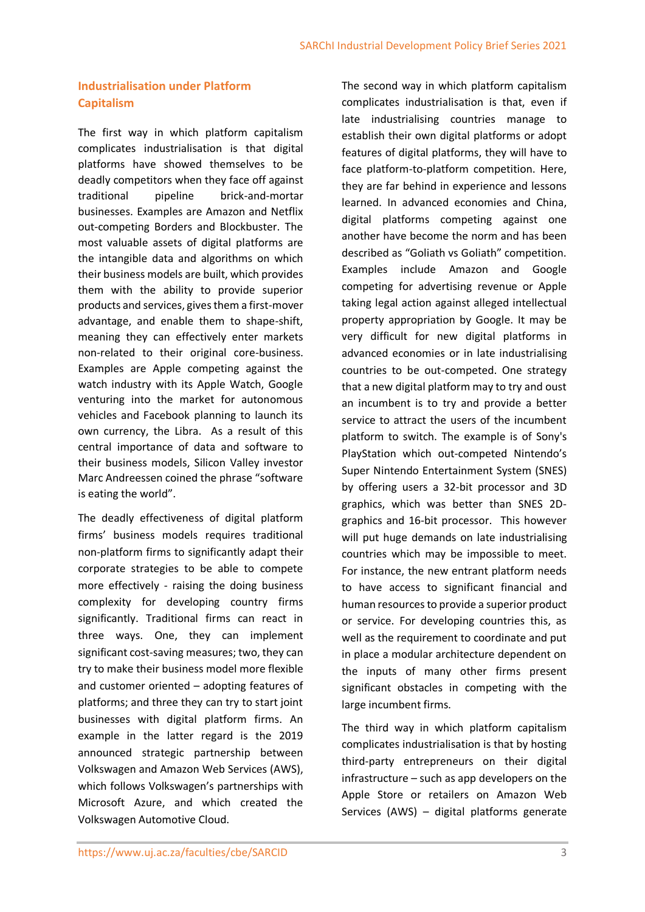# **Industrialisation under Platform Capitalism**

The first way in which platform capitalism complicates industrialisation is that digital platforms have showed themselves to be deadly competitors when they face off against traditional pipeline brick-and-mortar businesses. Examples are Amazon and Netflix out-competing Borders and Blockbuster. The most valuable assets of digital platforms are the intangible data and algorithms on which their business models are built, which provides them with the ability to provide superior products and services, gives them a first-mover advantage, and enable them to shape-shift, meaning they can effectively enter markets non-related to their original core-business. Examples are Apple competing against the watch industry with its Apple Watch, Google venturing into the market for autonomous vehicles and Facebook planning to launch its own currency, the Libra. As a result of this central importance of data and software to their business models, Silicon Valley investor Marc Andreessen coined the phrase "software is eating the world".

The deadly effectiveness of digital platform firms' business models requires traditional non-platform firms to significantly adapt their corporate strategies to be able to compete more effectively - raising the doing business complexity for developing country firms significantly. Traditional firms can react in three ways. One, they can implement significant cost-saving measures; two, they can try to make their business model more flexible and customer oriented – adopting features of platforms; and three they can try to start joint businesses with digital platform firms. An example in the latter regard is the 2019 announced strategic partnership between Volkswagen and Amazon Web Services (AWS), which follows Volkswagen's partnerships with Microsoft Azure, and which created the Volkswagen Automotive Cloud.

The second way in which platform capitalism complicates industrialisation is that, even if late industrialising countries manage to establish their own digital platforms or adopt features of digital platforms, they will have to face platform-to-platform competition. Here, they are far behind in experience and lessons learned. In advanced economies and China, digital platforms competing against one another have become the norm and has been described as "Goliath vs Goliath" competition. Examples include Amazon and Google competing for advertising revenue or Apple taking legal action against alleged intellectual property appropriation by Google. It may be very difficult for new digital platforms in advanced economies or in late industrialising countries to be out-competed. One strategy that a new digital platform may to try and oust an incumbent is to try and provide a better service to attract the users of the incumbent platform to switch. The example is of Sony's PlayStation which out-competed Nintendo's Super Nintendo Entertainment System (SNES) by offering users a 32-bit processor and 3D graphics, which was better than SNES 2Dgraphics and 16-bit processor. This however will put huge demands on late industrialising countries which may be impossible to meet. For instance, the new entrant platform needs to have access to significant financial and human resources to provide a superior product or service. For developing countries this, as well as the requirement to coordinate and put in place a modular architecture dependent on the inputs of many other firms present significant obstacles in competing with the large incumbent firms.

The third way in which platform capitalism complicates industrialisation is that by hosting third-party entrepreneurs on their digital infrastructure – such as app developers on the Apple Store or retailers on Amazon Web Services (AWS) – digital platforms generate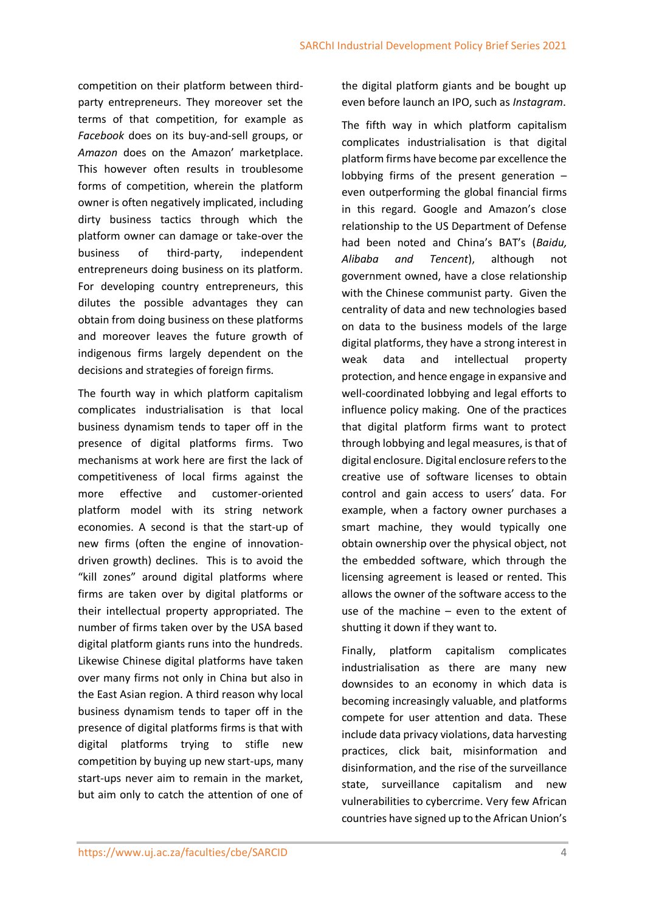competition on their platform between thirdparty entrepreneurs. They moreover set the terms of that competition, for example as *Facebook* does on its buy-and-sell groups, or *Amazon* does on the Amazon' marketplace. This however often results in troublesome forms of competition, wherein the platform owner is often negatively implicated, including dirty business tactics through which the platform owner can damage or take-over the business of third-party, independent entrepreneurs doing business on its platform. For developing country entrepreneurs, this dilutes the possible advantages they can obtain from doing business on these platforms and moreover leaves the future growth of indigenous firms largely dependent on the decisions and strategies of foreign firms.

The fourth way in which platform capitalism complicates industrialisation is that local business dynamism tends to taper off in the presence of digital platforms firms. Two mechanisms at work here are first the lack of competitiveness of local firms against the more effective and customer-oriented platform model with its string network economies. A second is that the start-up of new firms (often the engine of innovationdriven growth) declines. This is to avoid the "kill zones" around digital platforms where firms are taken over by digital platforms or their intellectual property appropriated. The number of firms taken over by the USA based digital platform giants runs into the hundreds. Likewise Chinese digital platforms have taken over many firms not only in China but also in the East Asian region. A third reason why local business dynamism tends to taper off in the presence of digital platforms firms is that with digital platforms trying to stifle new competition by buying up new start-ups, many start-ups never aim to remain in the market, but aim only to catch the attention of one of the digital platform giants and be bought up even before launch an IPO, such as *Instagram*.

The fifth way in which platform capitalism complicates industrialisation is that digital platform firms have become par excellence the lobbying firms of the present generation – even outperforming the global financial firms in this regard. Google and Amazon's close relationship to the US Department of Defense had been noted and China's BAT's (*Baidu, Alibaba and Tencent*), although not government owned, have a close relationship with the Chinese communist party. Given the centrality of data and new technologies based on data to the business models of the large digital platforms, they have a strong interest in weak data and intellectual property protection, and hence engage in expansive and well-coordinated lobbying and legal efforts to influence policy making. One of the practices that digital platform firms want to protect through lobbying and legal measures, is that of digital enclosure. Digital enclosure refers to the creative use of software licenses to obtain control and gain access to users' data. For example, when a factory owner purchases a smart machine, they would typically one obtain ownership over the physical object, not the embedded software, which through the licensing agreement is leased or rented. This allows the owner of the software access to the use of the machine – even to the extent of shutting it down if they want to.

Finally, platform capitalism complicates industrialisation as there are many new downsides to an economy in which data is becoming increasingly valuable, and platforms compete for user attention and data. These include data privacy violations, data harvesting practices, click bait, misinformation and disinformation, and the rise of the surveillance state, surveillance capitalism and new vulnerabilities to cybercrime. Very few African countries have signed up to the African Union's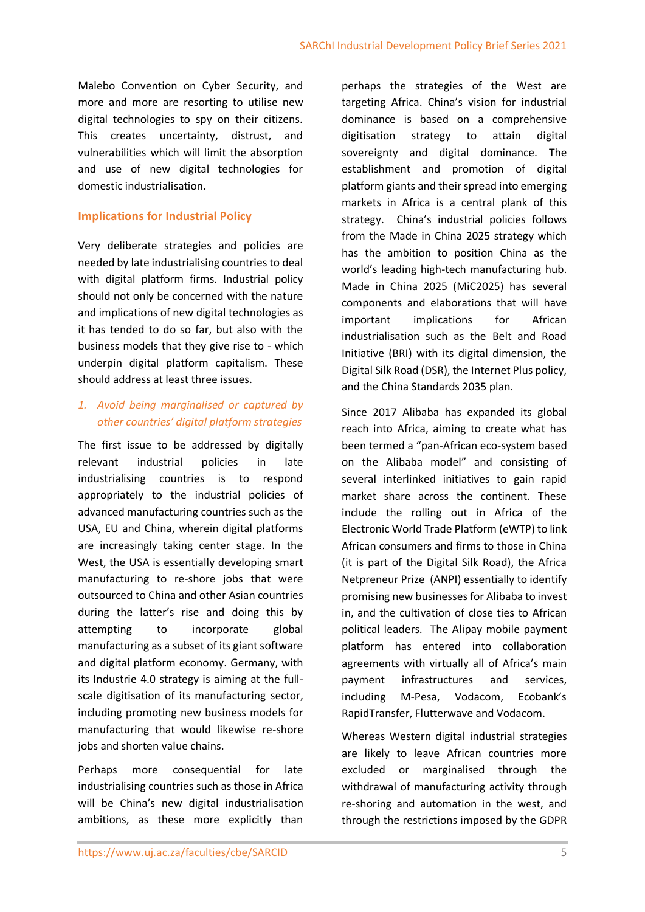Malebo Convention on Cyber Security, and more and more are resorting to utilise new digital technologies to spy on their citizens. This creates uncertainty, distrust, and vulnerabilities which will limit the absorption and use of new digital technologies for domestic industrialisation.

#### **Implications for Industrial Policy**

Very deliberate strategies and policies are needed by late industrialising countries to deal with digital platform firms. Industrial policy should not only be concerned with the nature and implications of new digital technologies as it has tended to do so far, but also with the business models that they give rise to - which underpin digital platform capitalism. These should address at least three issues.

### *1. Avoid being marginalised or captured by other countries' digital platform strategies*

The first issue to be addressed by digitally relevant industrial policies in late industrialising countries is to respond appropriately to the industrial policies of advanced manufacturing countries such as the USA, EU and China, wherein digital platforms are increasingly taking center stage. In the West, the USA is essentially developing smart manufacturing to re-shore jobs that were outsourced to China and other Asian countries during the latter's rise and doing this by attempting to incorporate global manufacturing as a subset of its giant software and digital platform economy. Germany, with its Industrie 4.0 strategy is aiming at the fullscale digitisation of its manufacturing sector, including promoting new business models for manufacturing that would likewise re-shore jobs and shorten value chains.

Perhaps more consequential for late industrialising countries such as those in Africa will be China's new digital industrialisation ambitions, as these more explicitly than

perhaps the strategies of the West are targeting Africa. China's vision for industrial dominance is based on a comprehensive digitisation strategy to attain digital sovereignty and digital dominance. The establishment and promotion of digital platform giants and their spread into emerging markets in Africa is a central plank of this strategy. China's industrial policies follows from the Made in China 2025 strategy which has the ambition to position China as the world's leading high-tech manufacturing hub. Made in China 2025 (MiC2025) has several components and elaborations that will have important implications for African industrialisation such as the Belt and Road Initiative (BRI) with its digital dimension, the Digital Silk Road (DSR), the Internet Plus policy, and the China Standards 2035 plan.

Since 2017 Alibaba has expanded its global reach into Africa, aiming to create what has been termed a "pan-African eco-system based on the Alibaba model" and consisting of several interlinked initiatives to gain rapid market share across the continent. These include the rolling out in Africa of the Electronic World Trade Platform (eWTP) to link African consumers and firms to those in China (it is part of the Digital Silk Road), the Africa Netpreneur Prize (ANPI) essentially to identify promising new businesses for Alibaba to invest in, and the cultivation of close ties to African political leaders. The Alipay mobile payment platform has entered into collaboration agreements with virtually all of Africa's main payment infrastructures and services, including M-Pesa, Vodacom, Ecobank's RapidTransfer, Flutterwave and Vodacom.

Whereas Western digital industrial strategies are likely to leave African countries more excluded or marginalised through the withdrawal of manufacturing activity through re-shoring and automation in the west, and through the restrictions imposed by the GDPR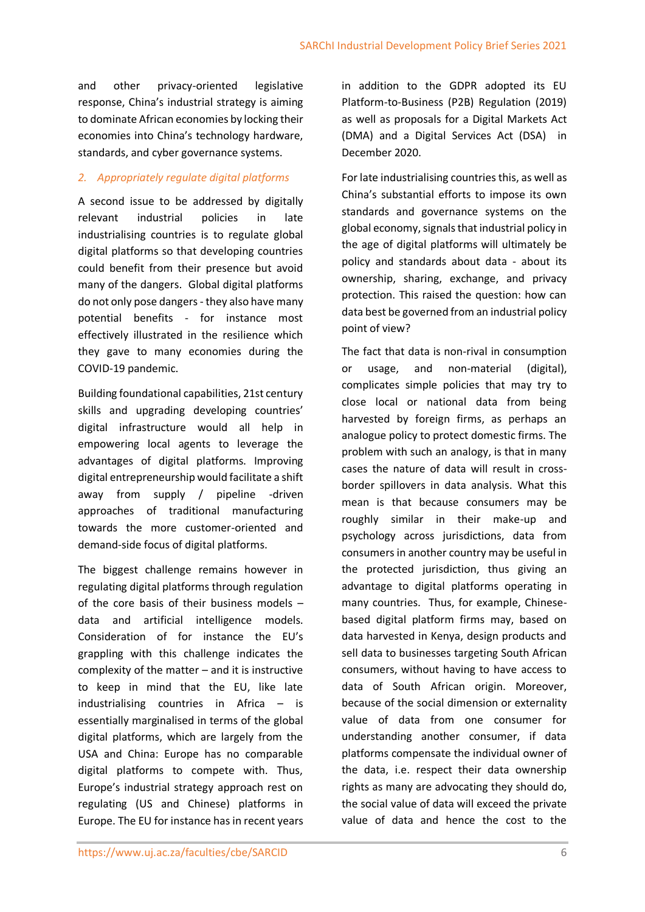and other privacy-oriented legislative response, China's industrial strategy is aiming to dominate African economies by locking their economies into China's technology hardware, standards, and cyber governance systems.

# *2. Appropriately regulate digital platforms*

A second issue to be addressed by digitally relevant industrial policies in late industrialising countries is to regulate global digital platforms so that developing countries could benefit from their presence but avoid many of the dangers. Global digital platforms do not only pose dangers - they also have many potential benefits - for instance most effectively illustrated in the resilience which they gave to many economies during the COVID-19 pandemic.

Building foundational capabilities, 21st century skills and upgrading developing countries' digital infrastructure would all help in empowering local agents to leverage the advantages of digital platforms. Improving digital entrepreneurship would facilitate a shift away from supply / pipeline -driven approaches of traditional manufacturing towards the more customer-oriented and demand-side focus of digital platforms.

The biggest challenge remains however in regulating digital platforms through regulation of the core basis of their business models – data and artificial intelligence models. Consideration of for instance the EU's grappling with this challenge indicates the complexity of the matter – and it is instructive to keep in mind that the EU, like late industrialising countries in Africa – is essentially marginalised in terms of the global digital platforms, which are largely from the USA and China: Europe has no comparable digital platforms to compete with. Thus, Europe's industrial strategy approach rest on regulating (US and Chinese) platforms in Europe. The EU for instance has in recent years in addition to the GDPR adopted its EU Platform-to-Business (P2B) Regulation (2019) as well as proposals for a Digital Markets Act (DMA) and a Digital Services Act (DSA) in December 2020.

For late industrialising countries this, as well as China's substantial efforts to impose its own standards and governance systems on the global economy, signals that industrial policy in the age of digital platforms will ultimately be policy and standards about data - about its ownership, sharing, exchange, and privacy protection. This raised the question: how can data best be governed from an industrial policy point of view?

The fact that data is non-rival in consumption or usage, and non-material (digital), complicates simple policies that may try to close local or national data from being harvested by foreign firms, as perhaps an analogue policy to protect domestic firms. The problem with such an analogy, is that in many cases the nature of data will result in crossborder spillovers in data analysis. What this mean is that because consumers may be roughly similar in their make-up and psychology across jurisdictions, data from consumers in another country may be useful in the protected jurisdiction, thus giving an advantage to digital platforms operating in many countries. Thus, for example, Chinesebased digital platform firms may, based on data harvested in Kenya, design products and sell data to businesses targeting South African consumers, without having to have access to data of South African origin. Moreover, because of the social dimension or externality value of data from one consumer for understanding another consumer, if data platforms compensate the individual owner of the data, i.e. respect their data ownership rights as many are advocating they should do, the social value of data will exceed the private value of data and hence the cost to the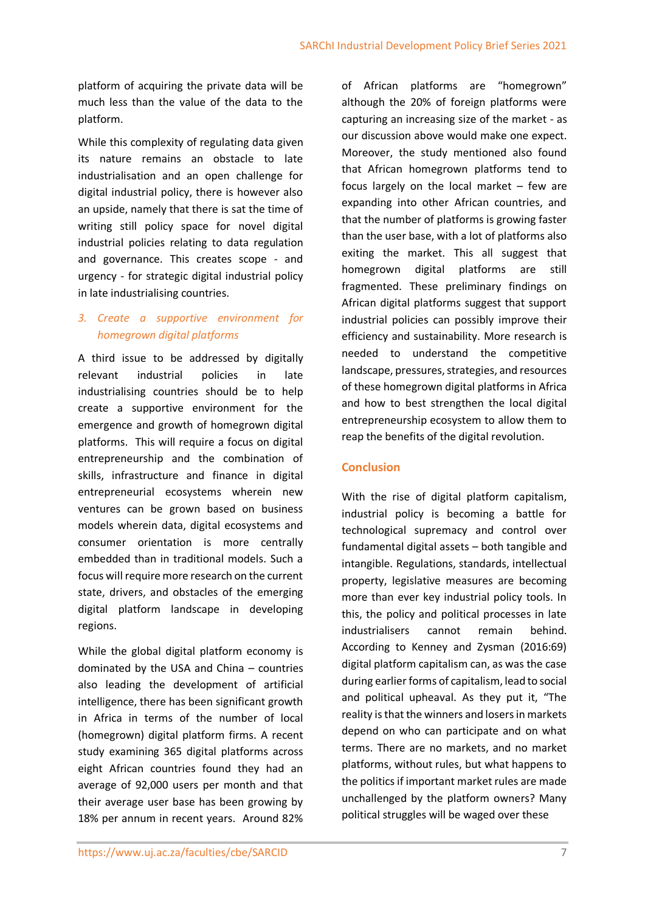platform of acquiring the private data will be much less than the value of the data to the platform.

While this complexity of regulating data given its nature remains an obstacle to late industrialisation and an open challenge for digital industrial policy, there is however also an upside, namely that there is sat the time of writing still policy space for novel digital industrial policies relating to data regulation and governance. This creates scope - and urgency - for strategic digital industrial policy in late industrialising countries.

# *3. Create a supportive environment for homegrown digital platforms*

A third issue to be addressed by digitally relevant industrial policies in late industrialising countries should be to help create a supportive environment for the emergence and growth of homegrown digital platforms. This will require a focus on digital entrepreneurship and the combination of skills, infrastructure and finance in digital entrepreneurial ecosystems wherein new ventures can be grown based on business models wherein data, digital ecosystems and consumer orientation is more centrally embedded than in traditional models. Such a focus will require more research on the current state, drivers, and obstacles of the emerging digital platform landscape in developing regions.

While the global digital platform economy is dominated by the USA and China – countries also leading the development of artificial intelligence, there has been significant growth in Africa in terms of the number of local (homegrown) digital platform firms. A recent study examining 365 digital platforms across eight African countries found they had an average of 92,000 users per month and that their average user base has been growing by 18% per annum in recent years. Around 82% of African platforms are "homegrown" although the 20% of foreign platforms were capturing an increasing size of the market - as our discussion above would make one expect. Moreover, the study mentioned also found that African homegrown platforms tend to focus largely on the local market – few are expanding into other African countries, and that the number of platforms is growing faster than the user base, with a lot of platforms also exiting the market. This all suggest that homegrown digital platforms are still fragmented. These preliminary findings on African digital platforms suggest that support industrial policies can possibly improve their efficiency and sustainability. More research is needed to understand the competitive landscape, pressures, strategies, and resources of these homegrown digital platforms in Africa and how to best strengthen the local digital entrepreneurship ecosystem to allow them to reap the benefits of the digital revolution.

### **Conclusion**

With the rise of digital platform capitalism, industrial policy is becoming a battle for technological supremacy and control over fundamental digital assets – both tangible and intangible. Regulations, standards, intellectual property, legislative measures are becoming more than ever key industrial policy tools. In this, the policy and political processes in late industrialisers cannot remain behind. According to Kenney and Zysman (2016:69) digital platform capitalism can, as was the case during earlier forms of capitalism, lead to social and political upheaval. As they put it, "The reality is that the winners and losers in markets depend on who can participate and on what terms. There are no markets, and no market platforms, without rules, but what happens to the politics if important market rules are made unchallenged by the platform owners? Many political struggles will be waged over these